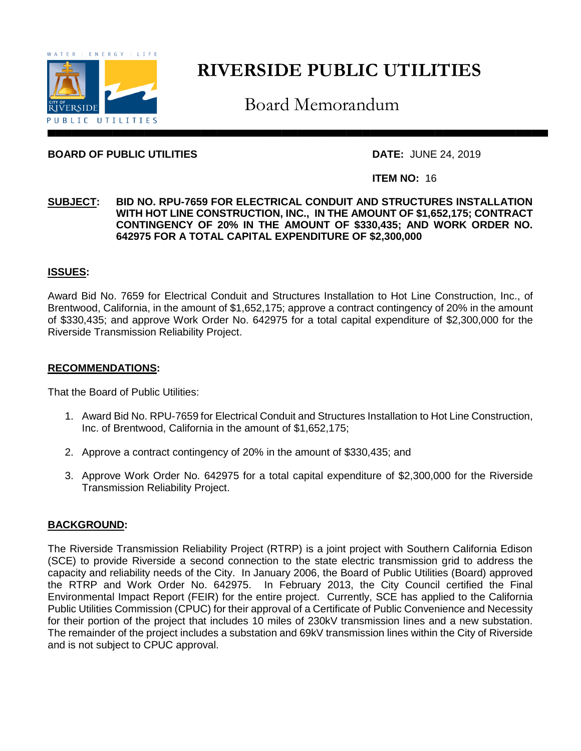

# **RIVERSIDE PUBLIC UTILITIES**

Board Memorandum

#### **BOARD OF PUBLIC UTILITIES DATE:** JUNE 24, 2019

#### **ITEM NO:** 16

#### **SUBJECT: BID NO. RPU-7659 FOR ELECTRICAL CONDUIT AND STRUCTURES INSTALLATION WITH HOT LINE CONSTRUCTION, INC., IN THE AMOUNT OF \$1,652,175; CONTRACT CONTINGENCY OF 20% IN THE AMOUNT OF \$330,435; AND WORK ORDER NO. 642975 FOR A TOTAL CAPITAL EXPENDITURE OF \$2,300,000**

#### **ISSUES:**

Award Bid No. 7659 for Electrical Conduit and Structures Installation to Hot Line Construction, Inc., of Brentwood, California, in the amount of \$1,652,175; approve a contract contingency of 20% in the amount of \$330,435; and approve Work Order No. 642975 for a total capital expenditure of \$2,300,000 for the Riverside Transmission Reliability Project.

#### **RECOMMENDATIONS:**

That the Board of Public Utilities:

- 1. Award Bid No. RPU-7659 for Electrical Conduit and Structures Installation to Hot Line Construction, Inc. of Brentwood, California in the amount of \$1,652,175;
- 2. Approve a contract contingency of 20% in the amount of \$330,435; and
- 3. Approve Work Order No. 642975 for a total capital expenditure of \$2,300,000 for the Riverside Transmission Reliability Project.

#### **BACKGROUND:**

The Riverside Transmission Reliability Project (RTRP) is a joint project with Southern California Edison (SCE) to provide Riverside a second connection to the state electric transmission grid to address the capacity and reliability needs of the City. In January 2006, the Board of Public Utilities (Board) approved the RTRP and Work Order No. 642975. In February 2013, the City Council certified the Final Environmental Impact Report (FEIR) for the entire project. Currently, SCE has applied to the California Public Utilities Commission (CPUC) for their approval of a Certificate of Public Convenience and Necessity for their portion of the project that includes 10 miles of 230kV transmission lines and a new substation. The remainder of the project includes a substation and 69kV transmission lines within the City of Riverside and is not subject to CPUC approval.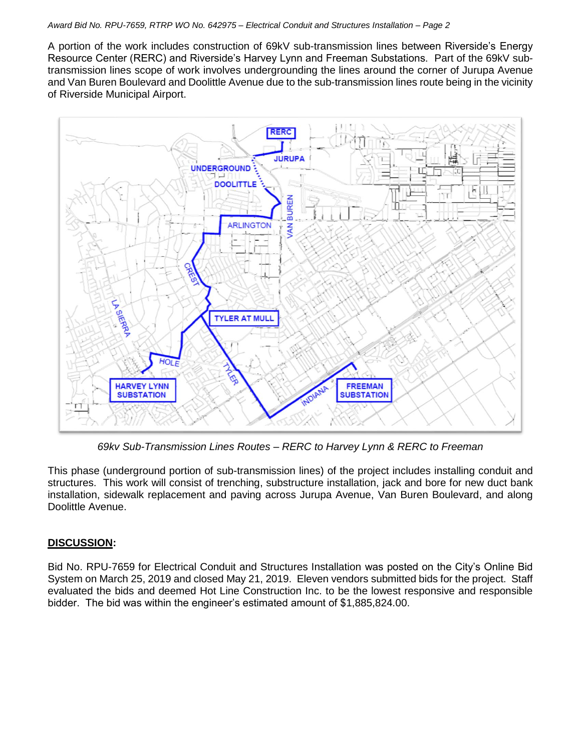#### *Award Bid No. RPU-7659, RTRP WO No. 642975 – Electrical Conduit and Structures Installation – Page 2*

A portion of the work includes construction of 69kV sub-transmission lines between Riverside's Energy Resource Center (RERC) and Riverside's Harvey Lynn and Freeman Substations. Part of the 69kV subtransmission lines scope of work involves undergrounding the lines around the corner of Jurupa Avenue and Van Buren Boulevard and Doolittle Avenue due to the sub-transmission lines route being in the vicinity of Riverside Municipal Airport.



*69kv Sub-Transmission Lines Routes – RERC to Harvey Lynn & RERC to Freeman*

This phase (underground portion of sub-transmission lines) of the project includes installing conduit and structures. This work will consist of trenching, substructure installation, jack and bore for new duct bank installation, sidewalk replacement and paving across Jurupa Avenue, Van Buren Boulevard, and along Doolittle Avenue.

## **DISCUSSION:**

Bid No. RPU-7659 for Electrical Conduit and Structures Installation was posted on the City's Online Bid System on March 25, 2019 and closed May 21, 2019. Eleven vendors submitted bids for the project. Staff evaluated the bids and deemed Hot Line Construction Inc. to be the lowest responsive and responsible bidder. The bid was within the engineer's estimated amount of \$1,885,824.00.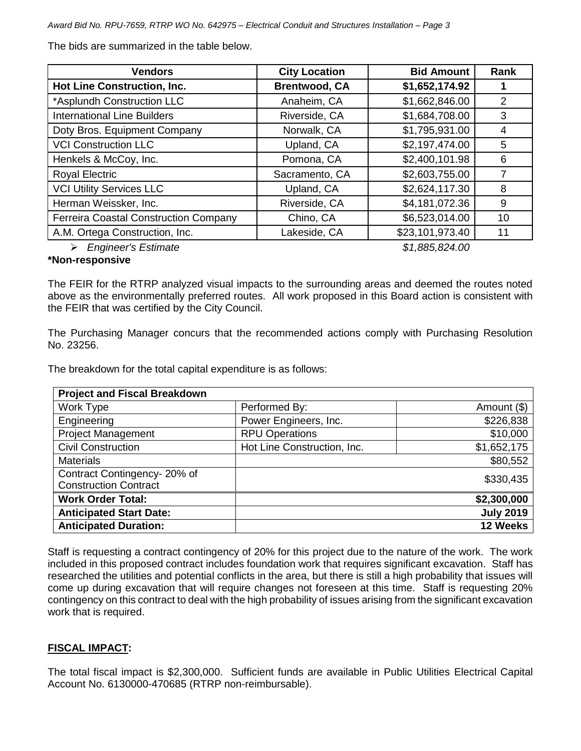*Award Bid No. RPU-7659, RTRP WO No. 642975 – Electrical Conduit and Structures Installation – Page 3*

The bids are summarized in the table below.

| <b>Vendors</b>                               | <b>City Location</b> | <b>Bid Amount</b> | <b>Rank</b> |
|----------------------------------------------|----------------------|-------------------|-------------|
| <b>Hot Line Construction, Inc.</b>           | <b>Brentwood, CA</b> | \$1,652,174.92    |             |
| *Asplundh Construction LLC                   | Anaheim, CA          | \$1,662,846.00    | 2           |
| <b>International Line Builders</b>           | Riverside, CA        | \$1,684,708.00    | 3           |
| Doty Bros. Equipment Company                 | Norwalk, CA          | \$1,795,931.00    | 4           |
| <b>VCI Construction LLC</b>                  | Upland, CA           | \$2,197,474.00    | 5           |
| Henkels & McCoy, Inc.                        | Pomona, CA           | \$2,400,101.98    | 6           |
| <b>Royal Electric</b>                        | Sacramento, CA       | \$2,603,755.00    | 7           |
| <b>VCI Utility Services LLC</b>              | Upland, CA           | \$2,624,117.30    | 8           |
| Herman Weissker, Inc.                        | Riverside, CA        | \$4,181,072.36    | 9           |
| <b>Ferreira Coastal Construction Company</b> | Chino, CA            | \$6,523,014.00    | 10          |
| A.M. Ortega Construction, Inc.               | Lakeside, CA         | \$23,101,973.40   | 11          |
| <b>Engineer's Estimate</b>                   |                      | \$1,885,824.00    |             |

## **\*Non-responsive**

The FEIR for the RTRP analyzed visual impacts to the surrounding areas and deemed the routes noted above as the environmentally preferred routes. All work proposed in this Board action is consistent with the FEIR that was certified by the City Council.

The Purchasing Manager concurs that the recommended actions comply with Purchasing Resolution No. 23256.

The breakdown for the total capital expenditure is as follows:

| <b>Project and Fiscal Breakdown</b> |                             |                  |
|-------------------------------------|-----------------------------|------------------|
| Work Type                           | Performed By:               | Amount (\$)      |
| Engineering                         | Power Engineers, Inc.       | \$226,838        |
| <b>Project Management</b>           | <b>RPU Operations</b>       | \$10,000         |
| <b>Civil Construction</b>           | Hot Line Construction, Inc. | \$1,652,175      |
| <b>Materials</b>                    |                             | \$80,552         |
| Contract Contingency-20% of         |                             | \$330,435        |
| <b>Construction Contract</b>        |                             |                  |
| <b>Work Order Total:</b>            |                             | \$2,300,000      |
| <b>Anticipated Start Date:</b>      |                             | <b>July 2019</b> |
| <b>Anticipated Duration:</b>        |                             | 12 Weeks         |

Staff is requesting a contract contingency of 20% for this project due to the nature of the work. The work included in this proposed contract includes foundation work that requires significant excavation. Staff has researched the utilities and potential conflicts in the area, but there is still a high probability that issues will come up during excavation that will require changes not foreseen at this time. Staff is requesting 20% contingency on this contract to deal with the high probability of issues arising from the significant excavation work that is required.

## **FISCAL IMPACT:**

The total fiscal impact is \$2,300,000. Sufficient funds are available in Public Utilities Electrical Capital Account No. 6130000-470685 (RTRP non-reimbursable).